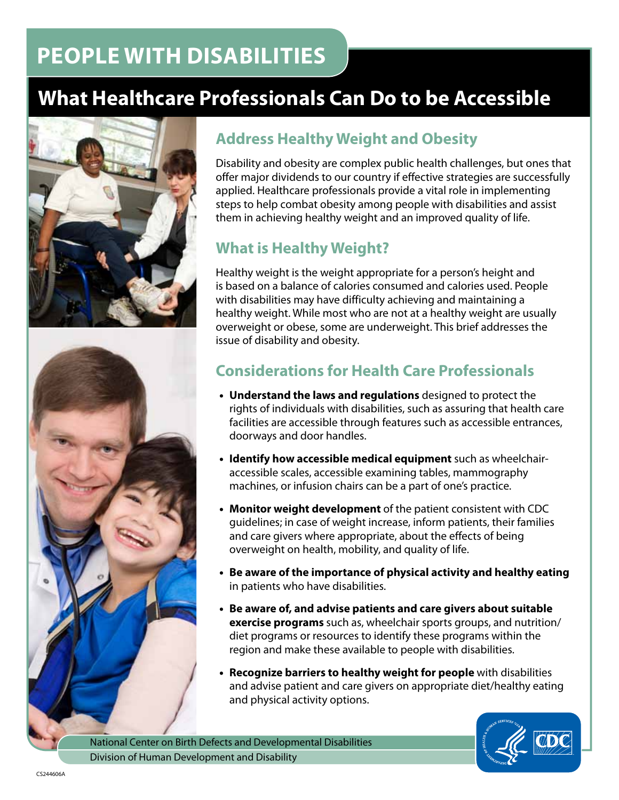# **PEOPLE WITH DISABILITIES**

# **What Healthcare Professionals Can Do to be Accessible**





## **Address Healthy Weight and Obesity**

Disability and obesity are complex public health challenges, but ones that offer major dividends to our country if effective strategies are successfully applied. Healthcare professionals provide a vital role in implementing steps to help combat obesity among people with disabilities and assist them in achieving healthy weight and an improved quality of life.

## **What is Healthy Weight?**

Healthy weight is the weight appropriate for a person's height and is based on a balance of calories consumed and calories used. People with disabilities may have difficulty achieving and maintaining a healthy weight. While most who are not at a healthy weight are usually overweight or obese, some are underweight. This brief addresses the issue of disability and obesity.

## **Considerations for Health Care Professionals**

- **Understand the laws and regulations** designed to protect the rights of individuals with disabilities, such as assuring that health care facilities are accessible through features such as accessible entrances, doorways and door handles.
- **Identify how accessible medical equipment** such as wheelchairaccessible scales, accessible examining tables, mammography machines, or infusion chairs can be a part of one's practice.
- **Monitor weight development** of the patient consistent with CDC guidelines; in case of weight increase, inform patients, their families and care givers where appropriate, about the effects of being overweight on health, mobility, and quality of life.
- **Be aware of the importance of physical activity and healthy eating**  in patients who have disabilities.
- **Be aware of, and advise patients and care givers about suitable exercise programs** such as, wheelchair sports groups, and nutrition/ diet programs or resources to identify these programs within the region and make these available to people with disabilities.
- **Recognize barriers to healthy weight for people** with disabilities and advise patient and care givers on appropriate diet/healthy eating and physical activity options.

National Center on Birth Defects and Developmental Disabilities Division of Human Development and Disability